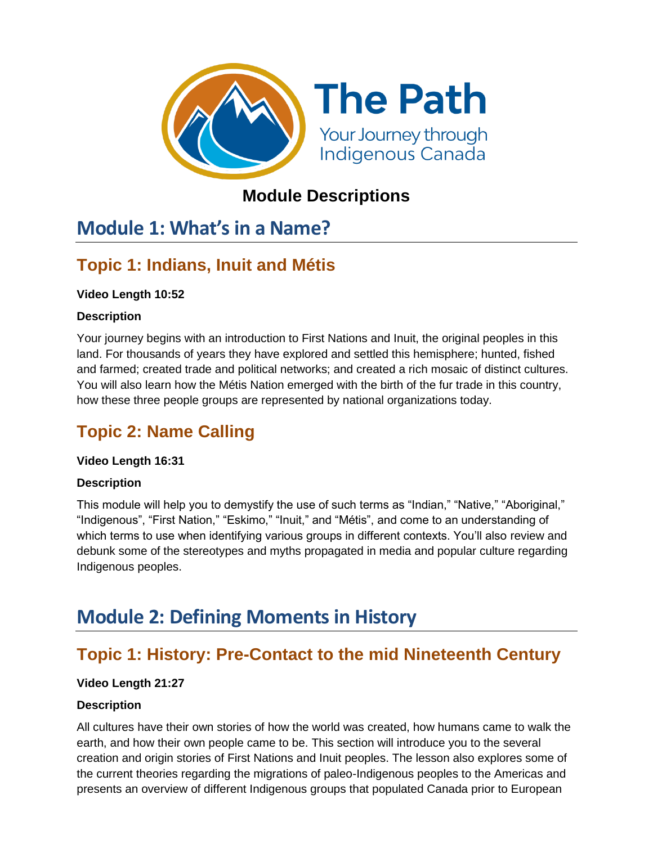

## **Module Descriptions**

# **Module 1: What's in a Name?**

# **Topic 1: Indians, Inuit and Métis**

### **Video Length 10:52**

### **Description**

Your journey begins with an introduction to First Nations and Inuit, the original peoples in this land. For thousands of years they have explored and settled this hemisphere; hunted, fished and farmed; created trade and political networks; and created a rich mosaic of distinct cultures. You will also learn how the Métis Nation emerged with the birth of the fur trade in this country, how these three people groups are represented by national organizations today.

# **Topic 2: Name Calling**

### **Video Length 16:31**

### **Description**

This module will help you to demystify the use of such terms as "Indian," "Native," "Aboriginal," "Indigenous", "First Nation," "Eskimo," "Inuit," and "Métis", and come to an understanding of which terms to use when identifying various groups in different contexts. You'll also review and debunk some of the stereotypes and myths propagated in media and popular culture regarding Indigenous peoples.

# **Module 2: Defining Moments in History**

## **Topic 1: History: Pre-Contact to the mid Nineteenth Century**

### **Video Length 21:27**

### **Description**

All cultures have their own stories of how the world was created, how humans came to walk the earth, and how their own people came to be. This section will introduce you to the several creation and origin stories of First Nations and Inuit peoples. The lesson also explores some of the current theories regarding the migrations of paleo-Indigenous peoples to the Americas and presents an overview of different Indigenous groups that populated Canada prior to European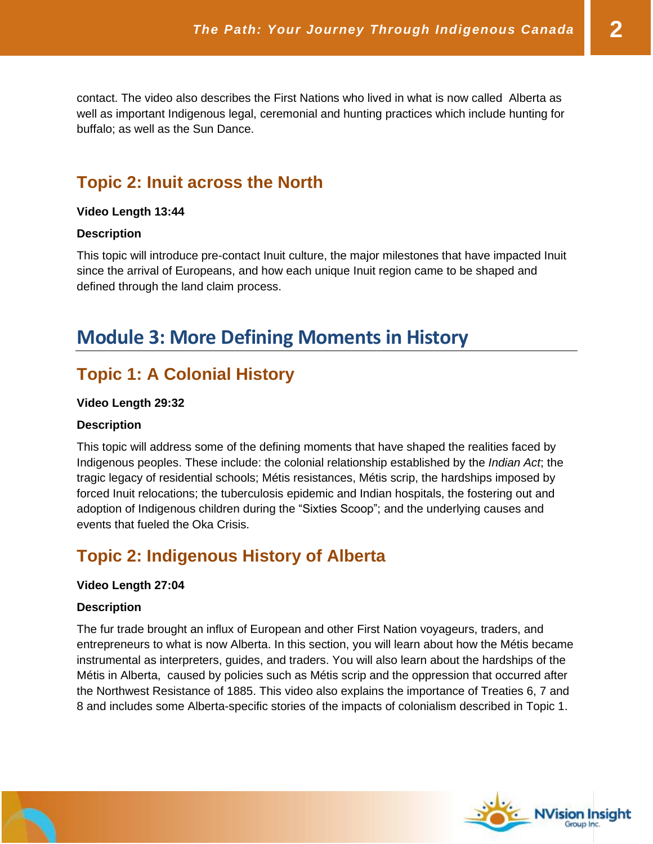contact. The video also describes the First Nations who lived in what is now called Alberta as well as important Indigenous legal, ceremonial and hunting practices which include hunting for buffalo; as well as the Sun Dance.

### **Topic 2: Inuit across the North**

#### **Video Length 13:44**

#### **Description**

This topic will introduce pre-contact Inuit culture, the major milestones that have impacted Inuit since the arrival of Europeans, and how each unique Inuit region came to be shaped and defined through the land claim process.

# **Module 3: More Defining Moments in History**

### **Topic 1: A Colonial History**

#### **Video Length 29:32**

#### **Description**

This topic will address some of the defining moments that have shaped the realities faced by Indigenous peoples. These include: the colonial relationship established by the *Indian Act*; the tragic legacy of residential schools; Métis resistances, Métis scrip, the hardships imposed by forced Inuit relocations; the tuberculosis epidemic and Indian hospitals, the fostering out and adoption of Indigenous children during the "Sixties Scoop"; and the underlying causes and events that fueled the Oka Crisis.

## **Topic 2: Indigenous History of Alberta**

#### **Video Length 27:04**

#### **Description**

The fur trade brought an influx of European and other First Nation voyageurs, traders, and entrepreneurs to what is now Alberta. In this section, you will learn about how the Métis became instrumental as interpreters, guides, and traders. You will also learn about the hardships of the Métis in Alberta, caused by policies such as Métis scrip and the oppression that occurred after the Northwest Resistance of 1885. This video also explains the importance of Treaties 6, 7 and 8 and includes some Alberta-specific stories of the impacts of colonialism described in Topic 1.



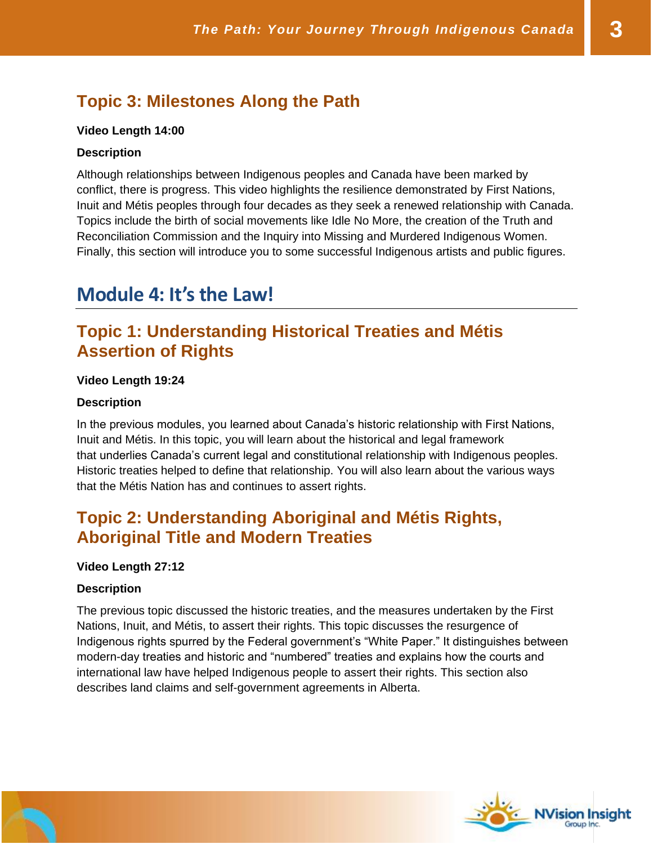## **Topic 3: Milestones Along the Path**

#### **Video Length 14:00**

#### **Description**

Although relationships between Indigenous peoples and Canada have been marked by conflict, there is progress. This video highlights the resilience demonstrated by First Nations, Inuit and Métis peoples through four decades as they seek a renewed relationship with Canada. Topics include the birth of social movements like Idle No More, the creation of the Truth and Reconciliation Commission and the Inquiry into Missing and Murdered Indigenous Women. Finally, this section will introduce you to some successful Indigenous artists and public figures.

# **Module 4: It's the Law!**

### **Topic 1: Understanding Historical Treaties and Métis Assertion of Rights**

#### **Video Length 19:24**

#### **Description**

In the previous modules, you learned about Canada's historic relationship with First Nations, Inuit and Métis. In this topic, you will learn about the historical and legal framework that underlies Canada's current legal and constitutional relationship with Indigenous peoples. Historic treaties helped to define that relationship. You will also learn about the various ways that the Métis Nation has and continues to assert rights.

### **Topic 2: Understanding Aboriginal and Métis Rights, Aboriginal Title and Modern Treaties**

#### **Video Length 27:12**

#### **Description**

The previous topic discussed the historic treaties, and the measures undertaken by the First Nations, Inuit, and Métis, to assert their rights. This topic discusses the resurgence of Indigenous rights spurred by the Federal government's "White Paper." It distinguishes between modern-day treaties and historic and "numbered" treaties and explains how the courts and international law have helped Indigenous people to assert their rights. This section also describes land claims and self-government agreements in Alberta.